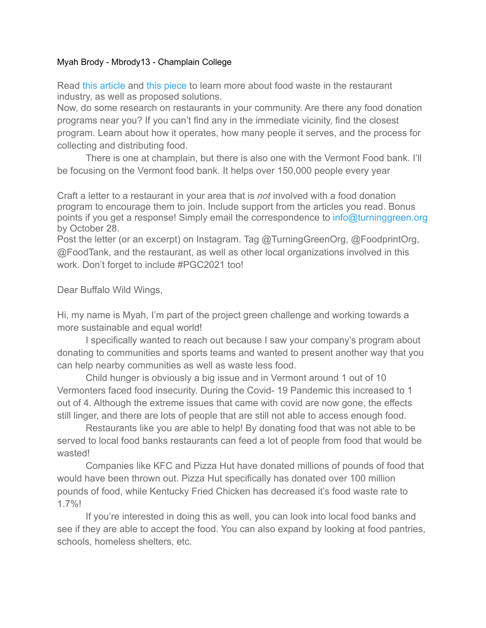## Myah Brody - Mbrody13 - Champlain College

Read [this article](https://www.eposnow.com/us/resources/can-restaurants-donate-leftover-food/) and [this piece](https://www.delish.com/food-news/g22625962/restaurants-that-donate-food/) to learn more about food waste in the restaurant industry, as well as proposed solutions.

Now, do some research on restaurants in your community. Are there any food donation programs near you? If you can't find any in the immediate vicinity, find the closest program. Learn about how it operates, how many people it serves, and the process for collecting and distributing food.

There is one at champlain, but there is also one with the Vermont Food bank. I'll be focusing on the Vermont food bank. It helps over 150,000 people every year

Craft a letter to a restaurant in your area that is *not* involved with a food donation program to encourage them to join. Include support from the articles you read. Bonus points if you get a response! Simply email the correspondence to info@turninggreen.org by October 28.

Post the letter (or an excerpt) on Instagram. Tag @TurningGreenOrg, @FoodprintOrg, @FoodTank, and the restaurant, as well as other local organizations involved in this work. Don't forget to include #PGC2021 too!

Dear Buffalo Wild Wings,

Hi, my name is Myah, I'm part of the project green challenge and working towards a more sustainable and equal world!

I specifically wanted to reach out because I saw your company's program about donating to communities and sports teams and wanted to present another way that you can help nearby communities as well as waste less food.

Child hunger is obviously a big issue and in Vermont around 1 out of 10 Vermonters faced food insecurity. During the Covid- 19 Pandemic this increased to 1 out of 4. Although the extreme issues that came with covid are now gone, the effects still linger, and there are lots of people that are still not able to access enough food.

Restaurants like you are able to help! By donating food that was not able to be served to local food banks restaurants can feed a lot of people from food that would be wasted!

Companies like KFC and Pizza Hut have donated millions of pounds of food that would have been thrown out. Pizza Hut specifically has donated over 100 million pounds of food, while Kentucky Fried Chicken has decreased it's food waste rate to 1.7%!

If you're interested in doing this as well, you can look into local food banks and see if they are able to accept the food. You can also expand by looking at food pantries, schools, homeless shelters, etc.